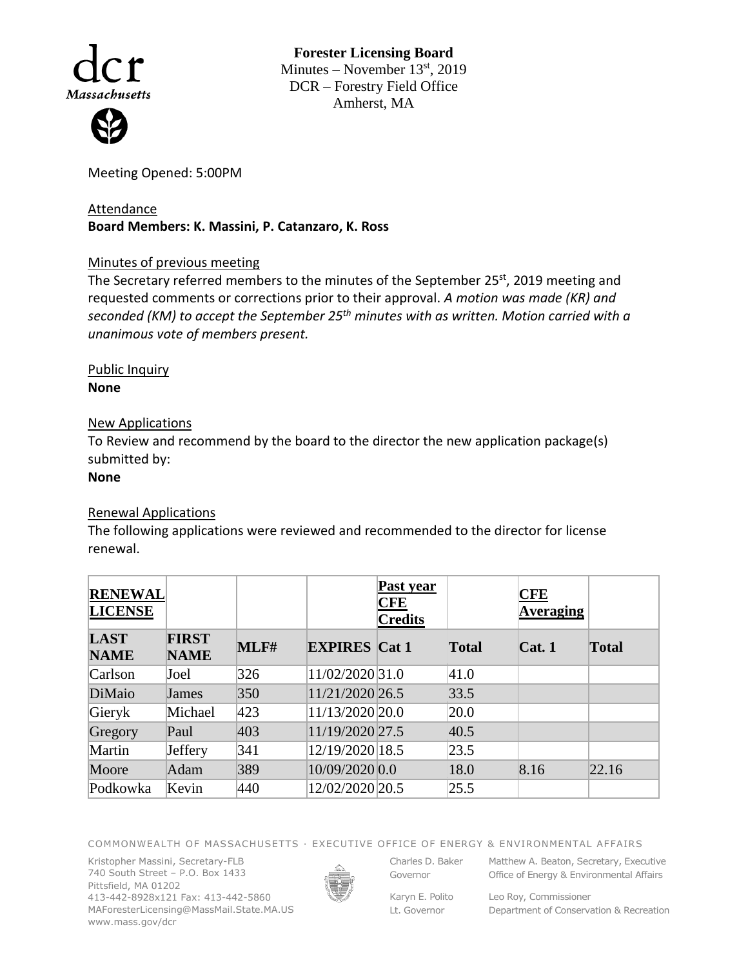

**Forester Licensing Board**  Minutes – November  $13<sup>st</sup>$ , 2019 DCR – Forestry Field Office Amherst, MA

Meeting Opened: 5:00PM

## Attendance **Board Members: K. Massini, P. Catanzaro, K. Ross**

## Minutes of previous meeting

The Secretary referred members to the minutes of the September 25<sup>st</sup>, 2019 meeting and requested comments or corrections prior to their approval. *A motion was made (KR) and seconded (KM) to accept the September 25th minutes with as written. Motion carried with a unanimous vote of members present.* 

Public Inquiry **None**

## New Applications

To Review and recommend by the board to the director the new application package(s) submitted by:

**None**

## Renewal Applications

The following applications were reviewed and recommended to the director for license renewal.

| <b>RENEWAL</b><br><b>LICENSE</b> |                             |      |                      | Past year<br><b>CFE</b><br><b>Credits</b> |              | <b>CFE</b><br>Averaging |              |
|----------------------------------|-----------------------------|------|----------------------|-------------------------------------------|--------------|-------------------------|--------------|
| <b>LAST</b><br><b>NAME</b>       | <b>FIRST</b><br><b>NAME</b> | MLF# | <b>EXPIRES</b> Cat 1 |                                           | <b>Total</b> | Cat.1                   | <b>Total</b> |
| Carlson                          | Joel                        | 326  | 11/02/2020 31.0      |                                           | 41.0         |                         |              |
| DiMaio                           | James                       | 350  | 11/21/2020 26.5      |                                           | 33.5         |                         |              |
| Gieryk                           | Michael                     | 423  | 11/13/2020 20.0      |                                           | 20.0         |                         |              |
| Gregory                          | Paul                        | 403  | 11/19/2020 27.5      |                                           | 40.5         |                         |              |
| Martin                           | Jeffery                     | 341  | 12/19/2020 18.5      |                                           | 23.5         |                         |              |
| Moore                            | Adam                        | 389  | 10/09/2020 0.0       |                                           | 18.0         | 8.16                    | 22.16        |
| Podkowka                         | Kevin                       | 440  | 12/02/2020 20.5      |                                           | 25.5         |                         |              |

COMMONWEALTH OF MASSACHUSETTS · EXECUTIVE OFFICE OF ENERGY & ENVIRONMENTAL AFFAIRS

Kristopher Massini, Secretary-FLB 740 South Street – P.O. Box 1433 Pittsfield, MA 01202 413-442-8928x121 Fax: 413-442-5860 MAForesterLicensing@MassMail.State.MA.US www.mass.gov/dcr



Governor

Karyn E. Polito Lt. Governor

Charles D. Baker Matthew A. Beaton, Secretary, Executive Office of Energy & Environmental Affairs

> Leo Roy, Commissioner Department of Conservation & Recreation